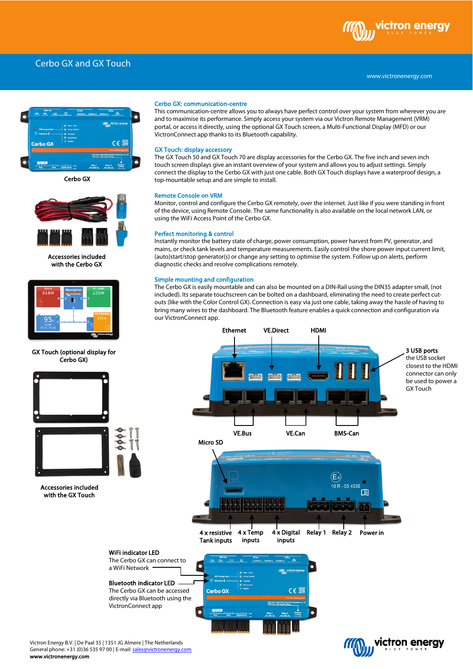# Cerbo GX and GX Touch



Cerbo GX



Accessories included with the Cerbo GX



GX Touch (optional display for Cerbo GX)





Accessories included with the GX Touch

#### Cerbo GX: communication-centre

This communication-centre allows you to always have perfect control over your system from wherever you are and to maximise its performance. Simply access your system via our Victron Remote Management (VRM) portal, or access it directly, using the optional GX Touch screen, a Multi-Functional Display (MFD) or our VictronConnect app thanks to its Bluetooth capability.

#### GX Touch: display accessory

The GX Touch 50 and GX Touch 70 are display accessories for the Cerbo GX. The five inch and seven inch touch screen displays give an instant overview of your system and allows you to adjust settings. Simply connect the display to the Cerbo GX with just one cable. Both GX Touch displays have a waterproof design, a top-mountable setup and are simple to install.

#### Remote Console on VRM

Monitor, control and configure the Cerbo GX remotely, over the internet. Just like if you were standing in front of the device, using Remote Console. The same functionality is also available on the local network LAN, or using the WiFi Access Point of the Cerbo GX.

## Perfect monitoring & control

Instantly monitor the battery state of charge, power consumption, power harvest from PV, generator, and mains, or check tank levels and temperature measurements. Easily control the shore power input current limit, (auto)start/stop generator(s) or change any setting to optimise the system. Follow up on alerts, perform diagnostic checks and resolve complications remotely.

### Simple mounting and configuration

The Cerbo GX is easily mountable and can also be mounted on a DIN-Rail using the DIN35 adapter small, (not included). Its separate touchscreen can be bolted on a dashboard, eliminating the need to create perfect cutouts (like with the Color Control GX). Connection is easy via just one cable, taking away the hassle of having to bring many wires to the dashboard. The Bluetooth feature enables a quick connection and configuration via our VictronConnect app.



Victron Energy B.V. | De Paal 35 | 1351 JG Almere | The Netherlands General phone: +31 (0)36 535 97 00 | E-mail[: sales@victronenergy.com](mailto:sales@victronenergy.com) www.victronenergy.com